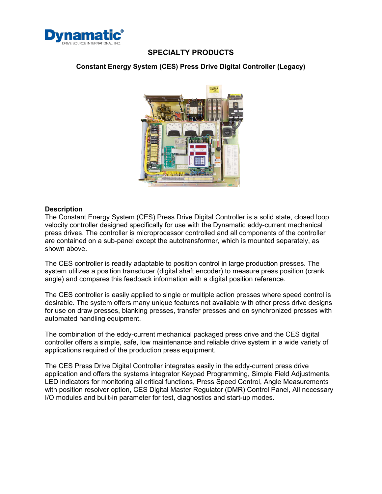

## **SPECIALTY PRODUCTS**

### **Constant Energy System (CES) Press Drive Digital Controller (Legacy)**



#### **Description**

The Constant Energy System (CES) Press Drive Digital Controller is a solid state, closed loop velocity controller designed specifically for use with the Dynamatic eddy-current mechanical press drives. The controller is microprocessor controlled and all components of the controller are contained on a sub-panel except the autotransformer, which is mounted separately, as shown above.

The CES controller is readily adaptable to position control in large production presses. The system utilizes a position transducer (digital shaft encoder) to measure press position (crank angle) and compares this feedback information with a digital position reference.

The CES controller is easily applied to single or multiple action presses where speed control is desirable. The system offers many unique features not available with other press drive designs for use on draw presses, blanking presses, transfer presses and on synchronized presses with automated handling equipment.

The combination of the eddy-current mechanical packaged press drive and the CES digital controller offers a simple, safe, low maintenance and reliable drive system in a wide variety of applications required of the production press equipment.

The CES Press Drive Digital Controller integrates easily in the eddy-current press drive application and offers the systems integrator Keypad Programming, Simple Field Adjustments, LED indicators for monitoring all critical functions, Press Speed Control, Angle Measurements with position resolver option, CES Digital Master Regulator (DMR) Control Panel, All necessary I/O modules and built-in parameter for test, diagnostics and start-up modes.